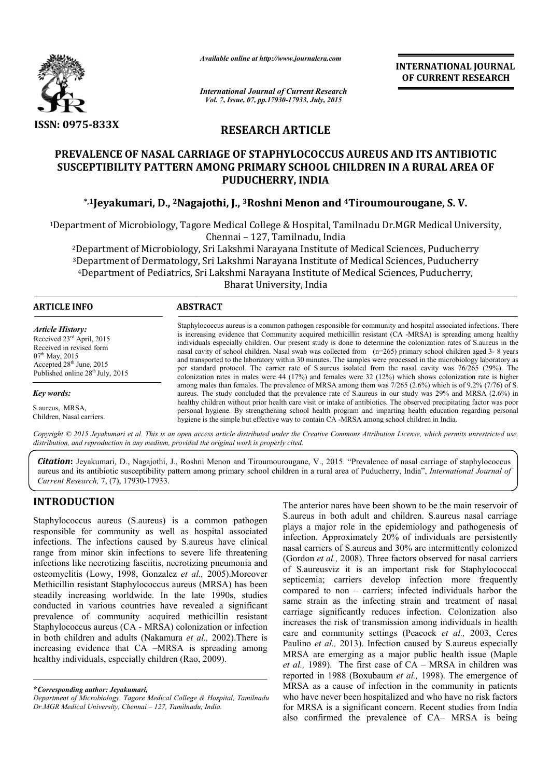

*Available online at http://www.journalcra.com*

**INTERNATIONAL INTERNATIONAL JOURNAL OF CURRENT RESEARCH** 

*International Journal of Current Research Vol. 7, Issue, 07, pp.17930-17933, July, 2015*

# **RESEARCH ARTICLE**

## **PREVALENCE OF NASAL CARRIAGE OF STAPHYLOCOCCUS AUREUS AND ITS ANTIBIOTIC**  PREVALENCE OF NASAL CARRIAGE OF STAPHYLOCOCCUS AUREUS AND ITS ANTIBIOTIC<br>SUSCEPTIBILITY PATTERN AMONG PRIMARY SCHOOL CHILDREN IN A RURAL AREA OF **PUDUCHERRY, INDIA**

## **\*,1Jeyakumari, D., 2Nagajothi Nagajothi, J., 3Roshni Menon and 4Tiroumourougane Tiroumourougane, S. V.**

<sup>1</sup>Department of Microbiology, Tagore Medical College & Hospital, Tamilnadu Dr.MGR Medical University, Chennai – 127, Tamilnadu, India

2Department of Microbiology, Sri Lakshmi Narayana Institute of Medical Sciences, Puducherry 3Department of Dermatology, Sri Lakshmi Narayana Institute of Medical Sciences, Puducherry Department of Microbiology, Sri Lakshmi Narayana Institute of Medical Sciences, Puducherr<br>Department of Dermatology, Sri Lakshmi Narayana Institute of Medical Sciences, Puducherry<br>4Department of Pediatrics, Sri Lakshmi Nar Bharat University, India

| <b>ARTICLE INFO</b>                                                                                                                                                                                   | <b>ABSTRACT</b>                                                                                                                                                                                                                                                                                                                                                                                                                                                                                                                                                                                                                                                                                                                                                                                                        |  |  |  |  |
|-------------------------------------------------------------------------------------------------------------------------------------------------------------------------------------------------------|------------------------------------------------------------------------------------------------------------------------------------------------------------------------------------------------------------------------------------------------------------------------------------------------------------------------------------------------------------------------------------------------------------------------------------------------------------------------------------------------------------------------------------------------------------------------------------------------------------------------------------------------------------------------------------------------------------------------------------------------------------------------------------------------------------------------|--|--|--|--|
| <i><b>Article History:</b></i><br>Received 23 <sup>rd</sup> April, 2015<br>Received in revised form<br>$07^{\text{th}}$ May, 2015<br>Accepted $28th$ June, 2015<br>Published online $28th$ July, 2015 | Staphylococcus aureus is a common pathogen responsible for community and hospital associated infections. There<br>is increasing evidence that Community acquired methicillin resistant (CA -MRSA) is spreading among healthy<br>individuals especially children. Our present study is done to determine the colonization rates of S.aureus in the<br>nasal cavity of school children. Nasal swab was collected from (n=265) primary school children aged 3-8 years<br>and transported to the laboratory within 30 minutes. The samples were processed in the microbiology laboratory as<br>per standard protocol. The carrier rate of S aureus isolated from the nasal cavity was 76/265 (29%). The<br>colonization rates in males were $44$ (17%) and females were $32$ (12%) which shows colonization rate is higher |  |  |  |  |
| Key words:                                                                                                                                                                                            | among males than females. The prevalence of MRSA among them was $7/265$ (2.6%) which is of 9.2% (7/76) of S.<br>aureus. The study concluded that the prevalence rate of S.aureus in our study was 29% and MRSA (2.6%) in<br>healthy children without prior health care visit or intake of antibiotics. The observed precipitating factor was poor                                                                                                                                                                                                                                                                                                                                                                                                                                                                      |  |  |  |  |
| S.aureus, MRSA,<br>Children, Nasal carriers.                                                                                                                                                          | personal hygiene. By strengthening school health program and imparting health education regarding personal<br>hygiene is the simple but effective way to contain CA -MRSA among school children in India.                                                                                                                                                                                                                                                                                                                                                                                                                                                                                                                                                                                                              |  |  |  |  |

*Copyright © 2015 Jeyakumari et al. This is an open access article distributed under the Creative Commons Att Attribution License, which ribution permits unrestricted use, distribution, and reproduction in any medium, provided the original work is properly cited.*

Citation: Jeyakumari, D., Nagajothi, J., Roshni Menon and Tiroumourougane, V., 2015. "Prevalence of nasal carriage of staphylococcus **Citation:** Jeyakumari, D., Nagajothi, J., Roshni Menon and Tiroumourougane, V., 2015. "Prevalence of nasal carriage of staphylococcus<br>aureus and its antibiotic susceptibility pattern among primary school children in a rur *Current Research,* 7, (7), 17930-17933.

## **INTRODUCTION**

Staphylococcus aureus (S.aureus) is a common pathogen responsible for community as well as hospital associated infections. The infections caused by S.aureus have clinical range from minor skin infections to severe life threatening infections like necrotizing fasciitis, necrotizing pneumonia and osteomyelitis (Lowy, 1998, Gonzalez *et al.,* 2005).Moreover Methicillin resistant Staphylococcus aureus (MRSA) has be been steadily increasing worldwide. In the late 1990s, studies conducted in various countries have revealed a significant prevalence of community acquired methicillin resistant Staphylococcus aureus (CA - MRSA) colonization or infection in both children and adults (Nakamura *et al.,*  2002).There is increasing evidence that CA -MRSA is spreading among healthy individuals, especially children (Rao, 2009).

The anterior nares have been shown to be the main reservoir of S.aureus in both adult and children. S.aureus nasal carriage plays a major role in the epidemiology and pathogenesis of infection. Approximately 20% of individuals are persistently nasal carriers of S.aureus and 30% are intermittently colonized (Gordon *et al.,* 2008). Three factors observed for nasal carriers of S.aureusviz it is an important risk for Staphylococcal septicemia; carriers develop infection more frequently compared to non – carriers; infected individuals harbor the same strain as the infecting strain and treatment of nasal carriage significantly reduces infection. Colonization also increases the risk of transmission among individuals in health increases the risk of transmission among individuals in health care and community settings (Peacock *et al.,* 2003, Ceres Paulino *et al.,* 2013). Infection caused by S.aureus especially MRSA are emerging as a major public health issue (Maple Paulino *et al.*, 2013). Infection caused by S.aureus especially MRSA are emerging as a major public health issue (Maple *et al.*, 1989). The first case of CA – MRSA in children was reported in 1988 (Boxubaum *et al.,* 1998). The emergence of MRSA as a cause of infection in the community in patients who have never been hospitalized and who have no risk factors for MRSA is a significant concern. Recent studies from India also confirmed the prevalence of CA- MRSA is being nares have been shown to be the main reservoir of both adult and children. S.aureus nasal carriage or role in the epidemiology and pathogenesis of pproximately 20% of individuals are persistently sof S.aureus and 30% are i *et al.*, 2008). Three factors observed for nasal carriers eusviz it is an important risk for Staphylococcal ia; carriers develop infection more frequently d to non – carriers; infected individuals harbor the ain as the in MRSA as a cause of infection in the community in patients<br>who have never been hospitalized and who have no risk factors<br>for MRSA is a significant concern. Recent studies from India<br>also confirmed the prevalence of CA– MRSA

**<sup>\*</sup>***Corresponding author: Jeyakumari,*

Department of Microbiology, Tagore Medical College & Hospital, Tamilnadu *Dr.MGR Medical University, Chennai – 127, Tamilnadu, India.*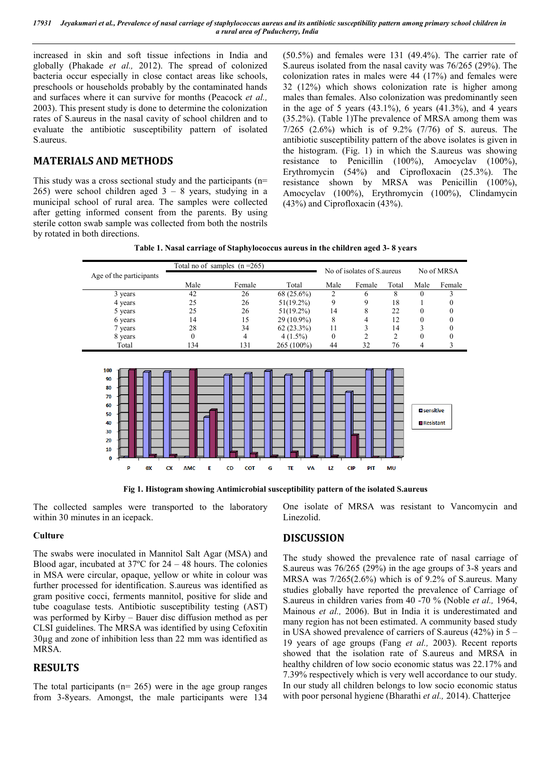*17931 Jeyakumari et al., Prevalence of nasal carriage of staphylococcus aureus and its antibiotic susceptibility pattern among primary school children in a rural area of Puducherry, India*

increased in skin and soft tissue infections in India and globally (Phakade *et al.,* 2012). The spread of colonized bacteria occur especially in close contact areas like schools, preschools or households probably by the contaminated hands and surfaces where it can survive for months (Peacock *et al.,* 2003). This present study is done to determine the colonization rates of S.aureus in the nasal cavity of school children and to evaluate the antibiotic susceptibility pattern of isolated S.aureus.

### **MATERIALS AND METHODS**

This study was a cross sectional study and the participants (n= 265) were school children aged  $3 - 8$  years, studying in a municipal school of rural area. The samples were collected after getting informed consent from the parents. By using sterile cotton swab sample was collected from both the nostrils by rotated in both directions.

(50.5%) and females were 131 (49.4%). The carrier rate of S.aureus isolated from the nasal cavity was 76/265 (29%). The colonization rates in males were 44 (17%) and females were 32 (12%) which shows colonization rate is higher among males than females. Also colonization was predominantly seen in the age of 5 years  $(43.1\%)$ , 6 years  $(41.3\%)$ , and 4 years (35.2%). (Table 1)The prevalence of MRSA among them was 7/265 (2.6%) which is of 9.2% (7/76) of S. aureus. The antibiotic susceptibility pattern of the above isolates is given in the histogram. (Fig. 1) in which the S.aureus was showing resistance to Penicillin (100%), Amocyclav (100%), Erythromycin (54%) and Ciprofloxacin (25.3%). The resistance shown by MRSA was Penicillin (100%), Amocyclav (100%), Erythromycin (100%), Clindamycin (43%) and Ciprofloxacin (43%).

| Table 1. Nasal carriage of Staphylococcus aureus in the children aged 3-8 years |  |  |
|---------------------------------------------------------------------------------|--|--|
|                                                                                 |  |  |

|                                                                                  | Total no of samples $(n=265)$ |                         |                      |              | No of isolates of S. aureus |       |                                 | No of MRSA |
|----------------------------------------------------------------------------------|-------------------------------|-------------------------|----------------------|--------------|-----------------------------|-------|---------------------------------|------------|
| Age of the participants                                                          | Male                          | Female                  | Total                | Male         | Female                      | Total | Male                            | Female     |
| 3 years                                                                          | 42                            | 26                      | 68 (25.6%)           | 2            | 6                           | 8     | 0                               | 3          |
| 4 years                                                                          | 25                            | 26                      | $51(19.2\%)$         | 9            | 9                           | 18    |                                 | 0          |
| 5 years                                                                          | 25                            | 26                      | $51(19.2\%)$         | 14           | 8                           | 22    | $\boldsymbol{0}$                | 0          |
| 6 years                                                                          | 14                            | 15                      | $29(10.9\%)$         | 8            | 4                           | 12    | $\boldsymbol{0}$                | 0          |
| 7 years                                                                          | 28                            | 34                      | $62(23.3\%)$         | 11           | 3                           | 14    | 3                               | 0          |
| 8 years                                                                          | $\theta$                      | $\overline{4}$          | $4(1.5\%)$           | $\mathbf{0}$ | $\overline{2}$              | 2     | $\mathbf{0}$                    | 0          |
| Total                                                                            | 134                           | 131                     | 265 (100%)           | 44           | 32                          | 76    | 4                               | 3          |
| 100<br>90<br>80<br>70<br>60<br>50<br>40<br>30<br>20<br>10<br>$\bf{0}$<br>P<br>0X | Ε<br><b>CX</b><br><b>AMC</b>  | <b>CD</b><br><b>COT</b> | G<br>TE<br><b>VA</b> | <b>LZ</b>    | <b>CIP</b><br>PIT           | MU    | <b>O</b> sensitive<br>Resistant |            |

**Fig 1. Histogram showing Antimicrobial susceptibility pattern of the isolated S.aureus**

The collected samples were transported to the laboratory within 30 minutes in an icepack.

#### **Culture**

The swabs were inoculated in Mannitol Salt Agar (MSA) and Blood agar, incubated at 37ºC for 24 – 48 hours. The colonies in MSA were circular, opaque, yellow or white in colour was further processed for identification. S.aureus was identified as gram positive cocci, ferments mannitol, positive for slide and tube coagulase tests. Antibiotic susceptibility testing (AST) was performed by Kirby – Bauer disc diffusion method as per CLSI guidelines. The MRSA was identified by using Cefoxitin 30µg and zone of inhibition less than 22 mm was identified as MRSA.

### **RESULTS**

The total participants ( $n= 265$ ) were in the age group ranges from 3-8years. Amongst, the male participants were 134 One isolate of MRSA was resistant to Vancomycin and Linezolid.

#### **DISCUSSION**

The study showed the prevalence rate of nasal carriage of S.aureus was 76/265 (29%) in the age groups of 3-8 years and MRSA was 7/265(2.6%) which is of 9.2% of S.aureus. Many studies globally have reported the prevalence of Carriage of S.aureus in children varies from 40 -70 % (Noble *et al.,* 1964, Mainous *et al.,* 2006). But in India it is underestimated and many region has not been estimated. A community based study in USA showed prevalence of carriers of S.aureus (42%) in 5 – 19 years of age groups (Fang *et al.,* 2003). Recent reports showed that the isolation rate of S.aureus and MRSA in healthy children of low socio economic status was 22.17% and 7.39% respectively which is very well accordance to our study. In our study all children belongs to low socio economic status with poor personal hygiene (Bharathi *et al.,* 2014). Chatterjee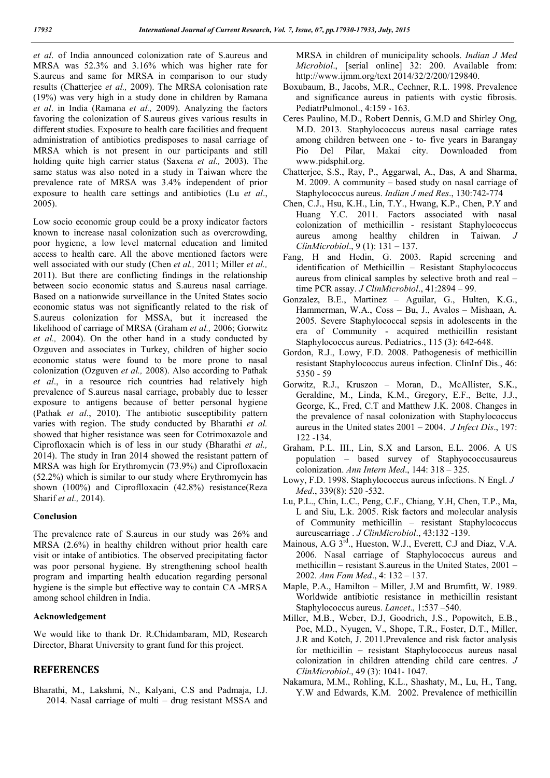*et al*. of India announced colonization rate of S.aureus and MRSA was 52.3% and 3.16% which was higher rate for S.aureus and same for MRSA in comparison to our study results (Chatterjee *et al.,* 2009). The MRSA colonisation rate (19%) was very high in a study done in children by Ramana *et al*. in India (Ramana *et al.,* 2009). Analyzing the factors favoring the colonization of S.aureus gives various results in different studies. Exposure to health care facilities and frequent administration of antibiotics predisposes to nasal carriage of MRSA which is not present in our participants and still holding quite high carrier status (Saxena *et al.,* 2003). The same status was also noted in a study in Taiwan where the prevalence rate of MRSA was 3.4% independent of prior exposure to health care settings and antibiotics (Lu *et al*., 2005).

Low socio economic group could be a proxy indicator factors known to increase nasal colonization such as overcrowding, poor hygiene, a low level maternal education and limited access to health care. All the above mentioned factors were well associated with our study (Chen *et al.,* 2011; Miller *et al.,*  2011). But there are conflicting findings in the relationship between socio economic status and S.aureus nasal carriage. Based on a nationwide surveillance in the United States socio economic status was not significantly related to the risk of S.aureus colonization for MSSA, but it increased the likelihood of carriage of MRSA (Graham *et al.,* 2006; Gorwitz *et al.,* 2004). On the other hand in a study conducted by Ozguven and associates in Turkey, children of higher socio economic status were found to be more prone to nasal colonization (Ozguven *et al.,* 2008). Also according to Pathak *et al*., in a resource rich countries had relatively high prevalence of S.aureus nasal carriage, probably due to lesser exposure to antigens because of better personal hygiene (Pathak *et al*., 2010). The antibiotic susceptibility pattern varies with region. The study conducted by Bharathi *et al.* showed that higher resistance was seen for Cotrimoxazole and Ciprofloxacin which is of less in our study (Bharathi *et al.,* 2014). The study in Iran 2014 showed the resistant pattern of MRSA was high for Erythromycin (73.9%) and Ciprofloxacin (52.2%) which is similar to our study where Erythromycin has shown (100%) and Ciproflloxacin (42.8%) resistance(Reza Sharif *et al.,* 2014).

#### **Conclusion**

The prevalence rate of S.aureus in our study was 26% and MRSA (2.6%) in healthy children without prior health care visit or intake of antibiotics. The observed precipitating factor was poor personal hygiene. By strengthening school health program and imparting health education regarding personal hygiene is the simple but effective way to contain CA -MRSA among school children in India.

#### **Acknowledgement**

We would like to thank Dr. R.Chidambaram, MD, Research Director, Bharat University to grant fund for this project.

### **REFERENCES**

Bharathi, M., Lakshmi, N., Kalyani, C.S and Padmaja, I.J. 2014. Nasal carriage of multi – drug resistant MSSA and MRSA in children of municipality schools. *Indian J Med Microbiol*., [serial online] 32: 200. Available from: http://www.ijmm.org/text 2014/32/2/200/129840.

- Boxubaum, B., Jacobs, M.R., Cechner, R.L. 1998. Prevalence and significance aureus in patients with cystic fibrosis. PediatrPulmonol., 4:159 - 163.
- Ceres Paulino, M.D., Robert Dennis, G.M.D and Shirley Ong, M.D. 2013. Staphylococcus aureus nasal carriage rates among children between one - to- five years in Barangay Pio Del Pilar, Makai city. Downloaded from www.pidsphil.org.
- Chatterjee, S.S., Ray, P., Aggarwal, A., Das, A and Sharma, M. 2009. A community – based study on nasal carriage of Staphylococcus aureus. *Indian J med Res*., 130:742-774
- Chen, C.J., Hsu, K.H., Lin, T.Y., Hwang, K.P., Chen, P.Y and Huang Y.C. 2011. Factors associated with nasal colonization of methicillin - resistant Staphylococcus aureus among healthy children in Taiwan. *J ClinMicrobiol*., 9 (1): 131 – 137.
- Fang, H and Hedin, G. 2003. Rapid screening and identification of Methicillin – Resistant Staphylococcus aureus from clinical samples by selective broth and real – time PCR assay. *J ClinMicrobiol*., 41:2894 – 99.
- Gonzalez, B.E., Martinez Aguilar, G., Hulten, K.G., Hammerman, W.A., Coss – Bu, J., Avalos – Mishaan, A. 2005. Severe Staphylococcal sepsis in adolescents in the era of Community - acquired methicillin resistant Staphylococcus aureus. Pediatrics., 115 (3): 642-648.
- Gordon, R.J., Lowy, F.D. 2008. Pathogenesis of methicillin resistant Staphylococcus aureus infection. ClinInf Dis., 46: 5350 - 59
- Gorwitz, R.J., Kruszon Moran, D., McAllister, S.K., Geraldine, M., Linda, K.M., Gregory, E.F., Bette, J.J., George, K., Fred, C.T and Matthew J.K. 2008. Changes in the prevalence of nasal colonization with Staphylococcus aureus in the United states 2001 – 2004. *J Infect Dis*., 197: 122 -134.
- Graham, P.L. III., Lin, S.X and Larson, E.L. 2006. A US population – based survey of Staphyococcusaureus colonization. *Ann Intern Med*., 144: 318 – 325.
- Lowy, F.D. 1998. Staphylococcus aureus infections. N Engl. *J Med*., 339(8): 520 -532.
- Lu, P.L., Chin, L.C., Peng, C.F., Chiang, Y.H, Chen, T.P., Ma, L and Siu, L.k. 2005. Risk factors and molecular analysis of Community methicillin – resistant Staphylococcus aureuscarriage . *J ClinMicrobiol*., 43:132 -139.
- Mainous, A.G 3<sup>rd</sup>., Hueston, W.J., Everett, C.J and Diaz, V.A. 2006. Nasal carriage of Staphylococcus aureus and methicillin – resistant S.aureus in the United States, 2001 – 2002. *Ann Fam Med*., 4: 132 – 137.
- Maple, P.A., Hamilton Miller, J.M and Brumfitt, W. 1989. Worldwide antibiotic resistance in methicillin resistant Staphylococcus aureus. *Lancet*., 1:537 –540.
- Miller, M.B., Weber, D.J, Goodrich, J.S., Popowitch, E.B., Poe, M.D., Nyugen, V., Shope, T.R., Foster, D.T., Miller, J.R and Kotch, J. 2011.Prevalence and risk factor analysis for methicillin – resistant Staphylococcus aureus nasal colonization in children attending child care centres. *J ClinMicrobiol*., 49 (3): 1041- 1047.
- Nakamura, M.M., Rohling, K.L., Shashaty, M., Lu, H., Tang, Y.W and Edwards, K.M. 2002. Prevalence of methicillin